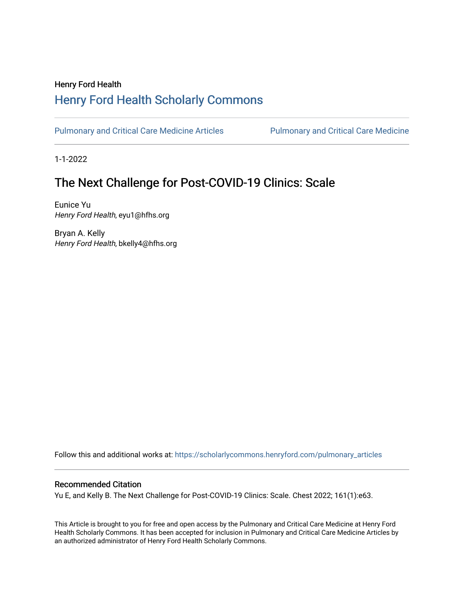## Henry Ford Health [Henry Ford Health Scholarly Commons](https://scholarlycommons.henryford.com/)

[Pulmonary and Critical Care Medicine Articles](https://scholarlycommons.henryford.com/pulmonary_articles) Pulmonary and Critical Care Medicine

1-1-2022

# The Next Challenge for Post-COVID-19 Clinics: Scale

Eunice Yu Henry Ford Health, eyu1@hfhs.org

Bryan A. Kelly Henry Ford Health, bkelly4@hfhs.org

Follow this and additional works at: [https://scholarlycommons.henryford.com/pulmonary\\_articles](https://scholarlycommons.henryford.com/pulmonary_articles?utm_source=scholarlycommons.henryford.com%2Fpulmonary_articles%2F137&utm_medium=PDF&utm_campaign=PDFCoverPages)

### Recommended Citation

Yu E, and Kelly B. The Next Challenge for Post-COVID-19 Clinics: Scale. Chest 2022; 161(1):e63.

This Article is brought to you for free and open access by the Pulmonary and Critical Care Medicine at Henry Ford Health Scholarly Commons. It has been accepted for inclusion in Pulmonary and Critical Care Medicine Articles by an authorized administrator of Henry Ford Health Scholarly Commons.